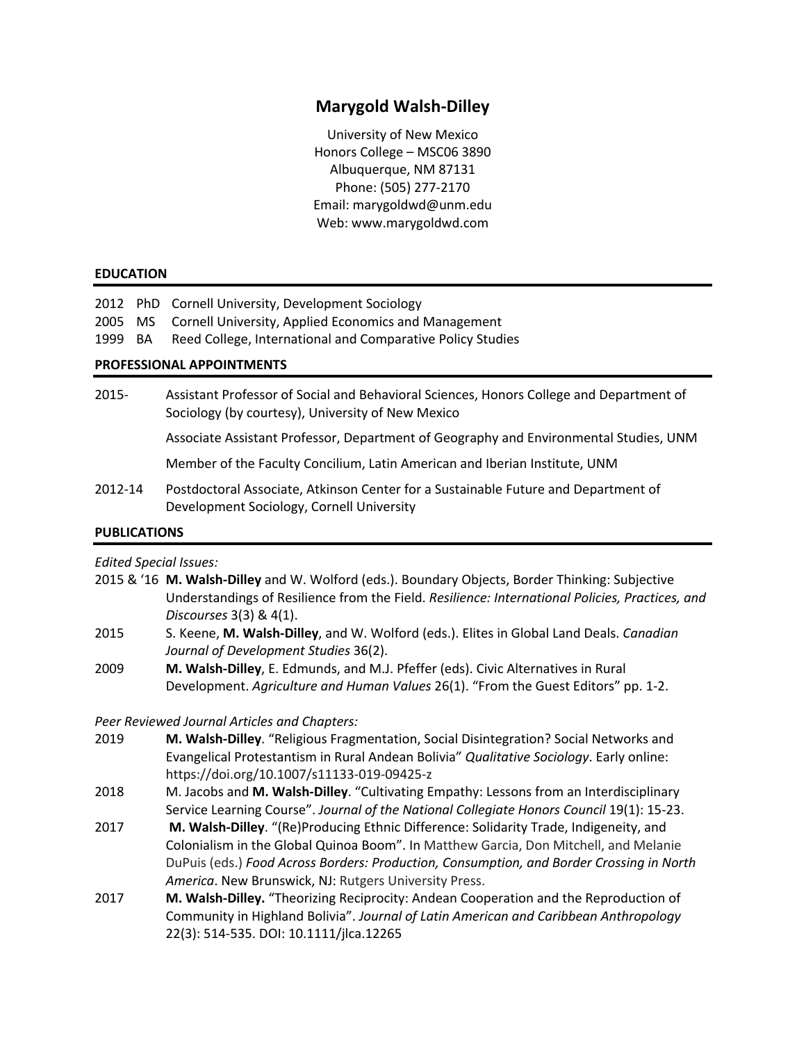# **Marygold Walsh-Dilley**

University of New Mexico Honors College – MSC06 3890 Albuquerque, NM 87131 Phone: (505) 277-2170 Email: marygoldwd@unm.edu Web: www.marygoldwd.com

#### **EDUCATION**

2012 PhD Cornell University, Development Sociology

2005 MS Cornell University, Applied Economics and Management

1999 BA Reed College, International and Comparative Policy Studies

#### **PROFESSIONAL APPOINTMENTS**

2015- Assistant Professor of Social and Behavioral Sciences, Honors College and Department of Sociology (by courtesy), University of New Mexico

Associate Assistant Professor, Department of Geography and Environmental Studies, UNM

Member of the Faculty Concilium, Latin American and Iberian Institute, UNM

2012-14 Postdoctoral Associate, Atkinson Center for a Sustainable Future and Department of Development Sociology, Cornell University

## **PUBLICATIONS**

#### *Edited Special Issues:*

- 2015 & '16 **M. Walsh-Dilley** and W. Wolford (eds.). Boundary Objects, Border Thinking: Subjective Understandings of Resilience from the Field. *Resilience: International Policies, Practices, and Discourses* 3(3) & 4(1).
- 2015 S. Keene, **M. Walsh-Dilley**, and W. Wolford (eds.). Elites in Global Land Deals. *Canadian Journal of Development Studies* 36(2).
- 2009 **M. Walsh-Dilley**, E. Edmunds, and M.J. Pfeffer (eds). Civic Alternatives in Rural Development. *Agriculture and Human Values* 26(1). "From the Guest Editors" pp. 1-2.

## *Peer Reviewed Journal Articles and Chapters:*

- 2019 **M. Walsh-Dilley**. "Religious Fragmentation, Social Disintegration? Social Networks and Evangelical Protestantism in Rural Andean Bolivia" *Qualitative Sociology*. Early online: https://doi.org/10.1007/s11133-019-09425-z
- 2018 M. Jacobs and **M. Walsh-Dilley**. "Cultivating Empathy: Lessons from an Interdisciplinary Service Learning Course". *Journal of the National Collegiate Honors Council* 19(1): 15-23.
- 2017 **M. Walsh-Dilley**. "(Re)Producing Ethnic Difference: Solidarity Trade, Indigeneity, and Colonialism in the Global Quinoa Boom". In Matthew Garcia, Don Mitchell, and Melanie DuPuis (eds.) *Food Across Borders: Production, Consumption, and Border Crossing in North America*. New Brunswick, NJ: Rutgers University Press.
- 2017 **M. Walsh-Dilley.** "Theorizing Reciprocity: Andean Cooperation and the Reproduction of Community in Highland Bolivia". *Journal of Latin American and Caribbean Anthropology* 22(3): 514-535. DOI: 10.1111/jlca.12265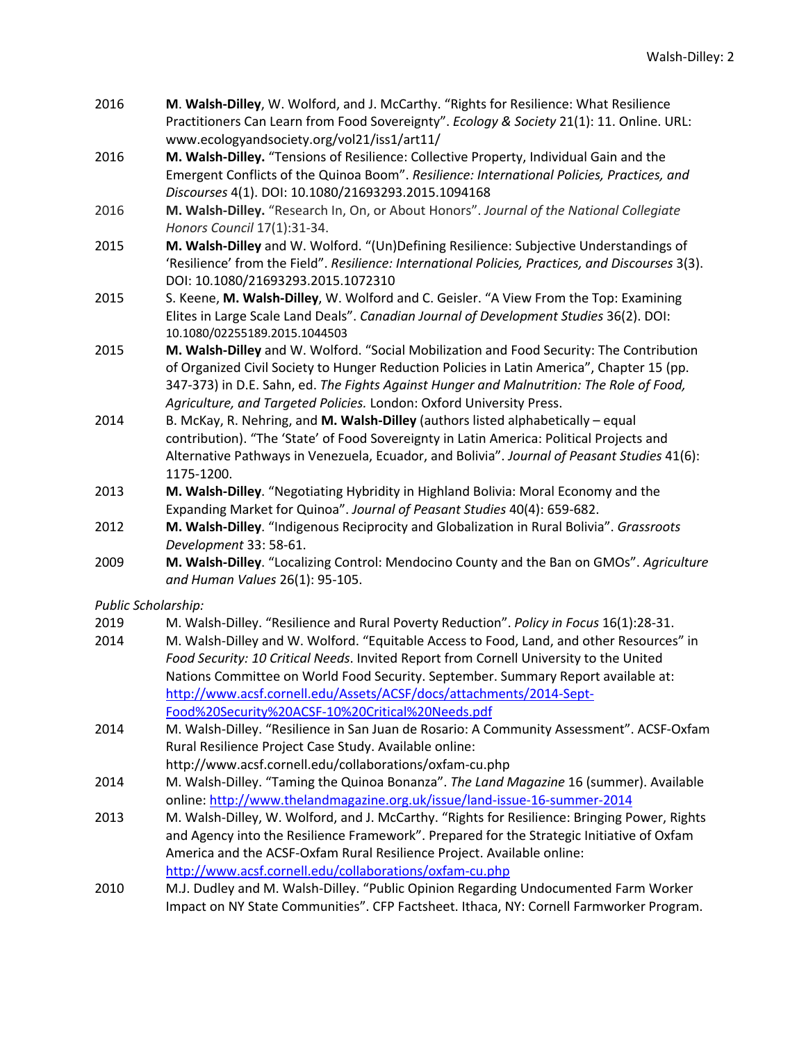- 2016 **M**. **Walsh-Dilley**, W. Wolford, and J. McCarthy. "Rights for Resilience: What Resilience Practitioners Can Learn from Food Sovereignty". *Ecology & Society* 21(1): 11. Online. URL: www.ecologyandsociety.org/vol21/iss1/art11/
- 2016 **M. Walsh-Dilley.** "Tensions of Resilience: Collective Property, Individual Gain and the Emergent Conflicts of the Quinoa Boom". *Resilience: International Policies, Practices, and Discourses* 4(1). DOI: 10.1080/21693293.2015.1094168
- 2016 **M. Walsh-Dilley.** "Research In, On, or About Honors". *Journal of the National Collegiate Honors Council* 17(1):31-34.
- 2015 **M. Walsh-Dilley** and W. Wolford. "(Un)Defining Resilience: Subjective Understandings of 'Resilience' from the Field". *Resilience: International Policies, Practices, and Discourses* 3(3). DOI: 10.1080/21693293.2015.1072310
- 2015 S. Keene, **M. Walsh-Dilley**, W. Wolford and C. Geisler. "A View From the Top: Examining Elites in Large Scale Land Deals". *Canadian Journal of Development Studies* 36(2). DOI: 10.1080/02255189.2015.1044503
- 2015 **M. Walsh-Dilley** and W. Wolford. "Social Mobilization and Food Security: The Contribution of Organized Civil Society to Hunger Reduction Policies in Latin America", Chapter 15 (pp. 347-373) in D.E. Sahn, ed. *The Fights Against Hunger and Malnutrition: The Role of Food, Agriculture, and Targeted Policies.* London: Oxford University Press.
- 2014 B. McKay, R. Nehring, and **M. Walsh-Dilley** (authors listed alphabetically equal contribution). "The 'State' of Food Sovereignty in Latin America: Political Projects and Alternative Pathways in Venezuela, Ecuador, and Bolivia". *Journal of Peasant Studies* 41(6): 1175-1200.
- 2013 **M. Walsh-Dilley**. "Negotiating Hybridity in Highland Bolivia: Moral Economy and the Expanding Market for Quinoa". *Journal of Peasant Studies* 40(4): 659-682.
- 2012 **M. Walsh-Dilley**. "Indigenous Reciprocity and Globalization in Rural Bolivia". *Grassroots Development* 33: 58-61.
- 2009 **M. Walsh-Dilley**. "Localizing Control: Mendocino County and the Ban on GMOs". *Agriculture and Human Values* 26(1): 95-105.

*Public Scholarship:*

- 2019 M. Walsh-Dilley. "Resilience and Rural Poverty Reduction". *Policy in Focus* 16(1):28-31.
- 2014 M. Walsh-Dilley and W. Wolford. "Equitable Access to Food, Land, and other Resources" in *Food Security: 10 Critical Needs*. Invited Report from Cornell University to the United Nations Committee on World Food Security. September. Summary Report available at: http://www.acsf.cornell.edu/Assets/ACSF/docs/attachments/2014-Sept-Food%20Security%20ACSF-10%20Critical%20Needs.pdf
- 2014 M. Walsh-Dilley. "Resilience in San Juan de Rosario: A Community Assessment". ACSF-Oxfam Rural Resilience Project Case Study. Available online: http://www.acsf.cornell.edu/collaborations/oxfam-cu.php
- 2014 M. Walsh-Dilley. "Taming the Quinoa Bonanza". *The Land Magazine* 16 (summer). Available online: http://www.thelandmagazine.org.uk/issue/land-issue-16-summer-2014
- 2013 M. Walsh-Dilley, W. Wolford, and J. McCarthy. "Rights for Resilience: Bringing Power, Rights and Agency into the Resilience Framework". Prepared for the Strategic Initiative of Oxfam America and the ACSF-Oxfam Rural Resilience Project. Available online: http://www.acsf.cornell.edu/collaborations/oxfam-cu.php
- 2010 M.J. Dudley and M. Walsh-Dilley. "Public Opinion Regarding Undocumented Farm Worker Impact on NY State Communities". CFP Factsheet. Ithaca, NY: Cornell Farmworker Program.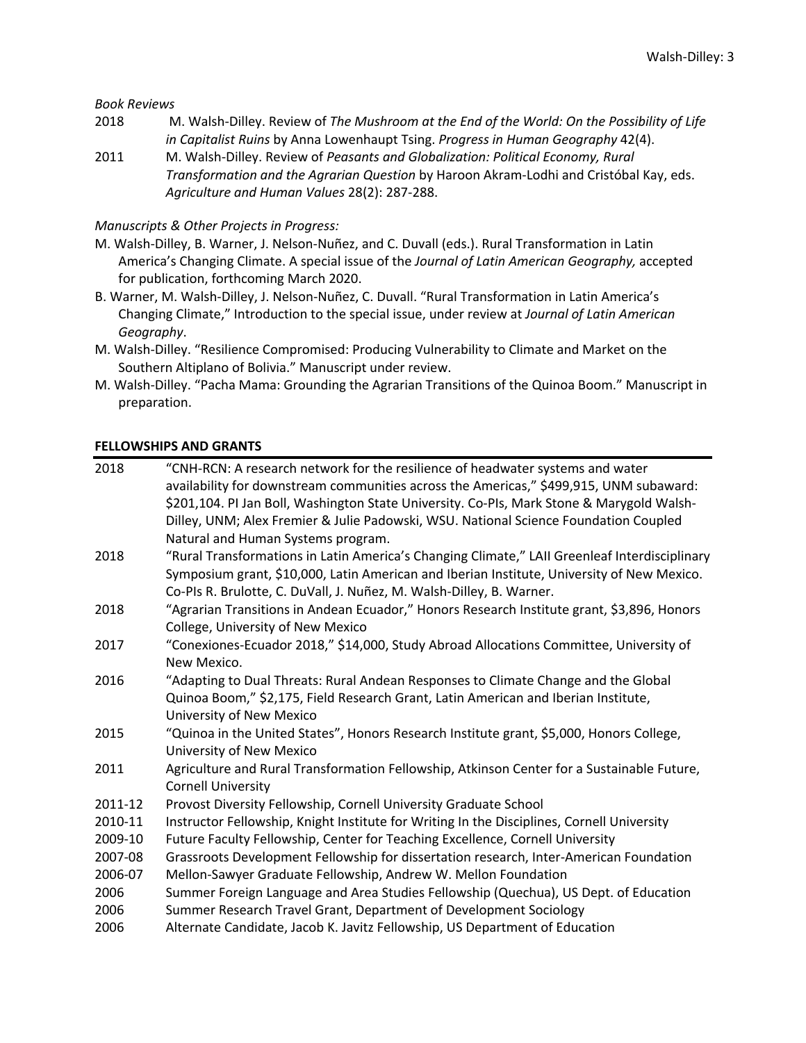*Book Reviews*

- 2018 M. Walsh-Dilley. Review of *The Mushroom at the End of the World: On the Possibility of Life in Capitalist Ruins* by Anna Lowenhaupt Tsing. *Progress in Human Geography* 42(4).
- 2011 M. Walsh-Dilley. Review of *Peasants and Globalization: Political Economy, Rural Transformation and the Agrarian Question* by Haroon Akram-Lodhi and Cristóbal Kay, eds. *Agriculture and Human Values* 28(2): 287-288.

#### *Manuscripts & Other Projects in Progress:*

- M. Walsh-Dilley, B. Warner, J. Nelson-Nuñez, and C. Duvall (eds.). Rural Transformation in Latin America's Changing Climate. A special issue of the *Journal of Latin American Geography,* accepted for publication, forthcoming March 2020.
- B. Warner, M. Walsh-Dilley, J. Nelson-Nuñez, C. Duvall. "Rural Transformation in Latin America's Changing Climate," Introduction to the special issue, under review at *Journal of Latin American Geography*.
- M. Walsh-Dilley. "Resilience Compromised: Producing Vulnerability to Climate and Market on the Southern Altiplano of Bolivia." Manuscript under review.
- M. Walsh-Dilley. "Pacha Mama: Grounding the Agrarian Transitions of the Quinoa Boom." Manuscript in preparation.

#### **FELLOWSHIPS AND GRANTS**

| 2018    | "CNH-RCN: A research network for the resilience of headwater systems and water<br>availability for downstream communities across the Americas," \$499,915, UNM subaward: |
|---------|--------------------------------------------------------------------------------------------------------------------------------------------------------------------------|
|         | \$201,104. PI Jan Boll, Washington State University. Co-PIs, Mark Stone & Marygold Walsh-                                                                                |
|         | Dilley, UNM; Alex Fremier & Julie Padowski, WSU. National Science Foundation Coupled                                                                                     |
|         | Natural and Human Systems program.                                                                                                                                       |
| 2018    | "Rural Transformations in Latin America's Changing Climate," LAII Greenleaf Interdisciplinary                                                                            |
|         | Symposium grant, \$10,000, Latin American and Iberian Institute, University of New Mexico.                                                                               |
|         | Co-PIs R. Brulotte, C. DuVall, J. Nuñez, M. Walsh-Dilley, B. Warner.                                                                                                     |
| 2018    | "Agrarian Transitions in Andean Ecuador," Honors Research Institute grant, \$3,896, Honors                                                                               |
|         | College, University of New Mexico                                                                                                                                        |
| 2017    | "Conexiones-Ecuador 2018," \$14,000, Study Abroad Allocations Committee, University of                                                                                   |
|         | New Mexico.                                                                                                                                                              |
| 2016    | "Adapting to Dual Threats: Rural Andean Responses to Climate Change and the Global                                                                                       |
|         | Quinoa Boom," \$2,175, Field Research Grant, Latin American and Iberian Institute,                                                                                       |
|         | University of New Mexico                                                                                                                                                 |
| 2015    | "Quinoa in the United States", Honors Research Institute grant, \$5,000, Honors College,                                                                                 |
|         | University of New Mexico                                                                                                                                                 |
| 2011    | Agriculture and Rural Transformation Fellowship, Atkinson Center for a Sustainable Future,                                                                               |
|         | <b>Cornell University</b>                                                                                                                                                |
| 2011-12 | Provost Diversity Fellowship, Cornell University Graduate School                                                                                                         |
| 2010-11 | Instructor Fellowship, Knight Institute for Writing In the Disciplines, Cornell University                                                                               |
| 2009-10 | Future Faculty Fellowship, Center for Teaching Excellence, Cornell University                                                                                            |
| 2007-08 | Grassroots Development Fellowship for dissertation research, Inter-American Foundation                                                                                   |
| 2006-07 | Mellon-Sawyer Graduate Fellowship, Andrew W. Mellon Foundation                                                                                                           |
| 2006    | Summer Foreign Language and Area Studies Fellowship (Quechua), US Dept. of Education                                                                                     |
| 2006    | Summer Research Travel Grant, Department of Development Sociology                                                                                                        |
| 2006    | Alternate Candidate, Jacob K. Javitz Fellowship, US Department of Education                                                                                              |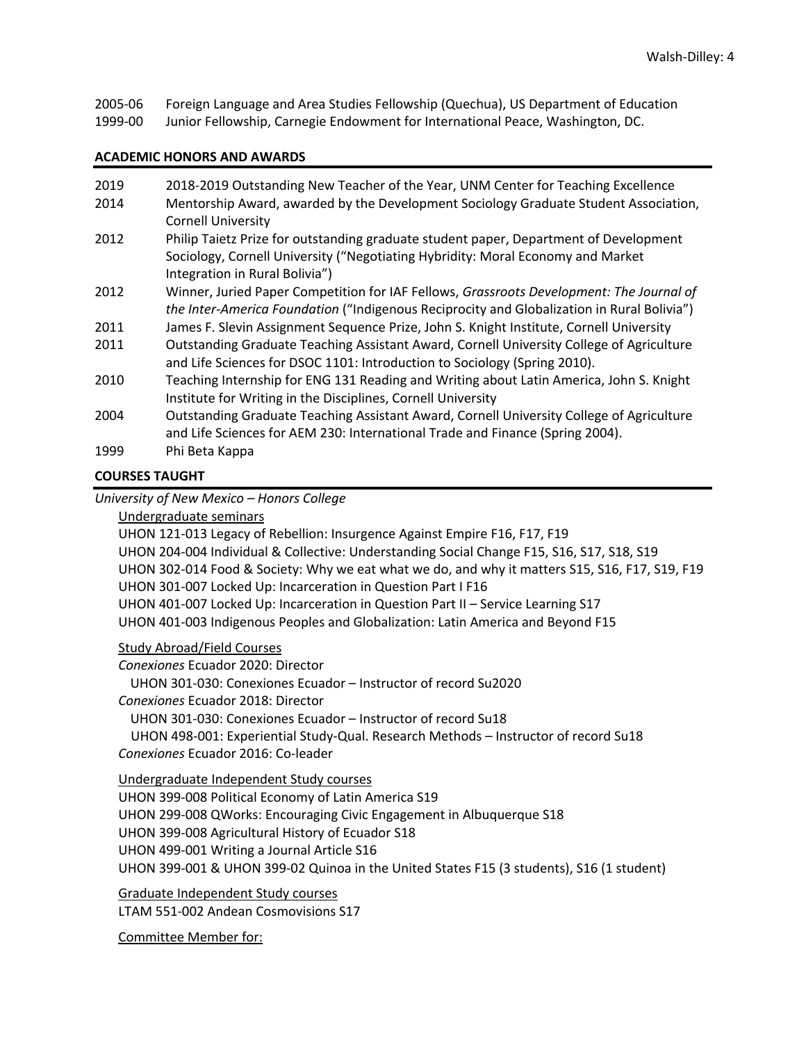2005-06 Foreign Language and Area Studies Fellowship (Quechua), US Department of Education

1999-00 Junior Fellowship, Carnegie Endowment for International Peace, Washington, DC.

## **ACADEMIC HONORS AND AWARDS**

| 2019 | 2018-2019 Outstanding New Teacher of the Year, UNM Center for Teaching Excellence                                                                                         |
|------|---------------------------------------------------------------------------------------------------------------------------------------------------------------------------|
| 2014 | Mentorship Award, awarded by the Development Sociology Graduate Student Association,<br><b>Cornell University</b>                                                         |
| 2012 | Philip Taietz Prize for outstanding graduate student paper, Department of Development                                                                                     |
|      | Sociology, Cornell University ("Negotiating Hybridity: Moral Economy and Market<br>Integration in Rural Bolivia")                                                         |
| 2012 | Winner, Juried Paper Competition for IAF Fellows, Grassroots Development: The Journal of                                                                                  |
|      | the Inter-America Foundation ("Indigenous Reciprocity and Globalization in Rural Bolivia")                                                                                |
| 2011 | James F. Slevin Assignment Sequence Prize, John S. Knight Institute, Cornell University                                                                                   |
| 2011 | Outstanding Graduate Teaching Assistant Award, Cornell University College of Agriculture<br>and Life Sciences for DSOC 1101: Introduction to Sociology (Spring 2010).     |
| 2010 | Teaching Internship for ENG 131 Reading and Writing about Latin America, John S. Knight<br>Institute for Writing in the Disciplines, Cornell University                   |
| 2004 | Outstanding Graduate Teaching Assistant Award, Cornell University College of Agriculture<br>and Life Sciences for AEM 230: International Trade and Finance (Spring 2004). |
| 1999 | Phi Beta Kappa                                                                                                                                                            |

# **COURSES TAUGHT**

*University of New Mexico – Honors College* 

Undergraduate seminars

UHON 121-013 Legacy of Rebellion: Insurgence Against Empire F16, F17, F19 UHON 204-004 Individual & Collective: Understanding Social Change F15, S16, S17, S18, S19 UHON 302-014 Food & Society: Why we eat what we do, and why it matters S15, S16, F17, S19, F19 UHON 301-007 Locked Up: Incarceration in Question Part I F16 UHON 401-007 Locked Up: Incarceration in Question Part II – Service Learning S17 UHON 401-003 Indigenous Peoples and Globalization: Latin America and Beyond F15

## Study Abroad/Field Courses

*Conexiones* Ecuador 2020: Director UHON 301-030: Conexiones Ecuador – Instructor of record Su2020 *Conexiones* Ecuador 2018: Director UHON 301-030: Conexiones Ecuador – Instructor of record Su18 UHON 498-001: Experiential Study-Qual. Research Methods – Instructor of record Su18 *Conexiones* Ecuador 2016: Co-leader

Undergraduate Independent Study courses UHON 399-008 Political Economy of Latin America S19 UHON 299-008 QWorks: Encouraging Civic Engagement in Albuquerque S18 UHON 399-008 Agricultural History of Ecuador S18 UHON 499-001 Writing a Journal Article S16 UHON 399-001 & UHON 399-02 Quinoa in the United States F15 (3 students), S16 (1 student)

Graduate Independent Study courses LTAM 551-002 Andean Cosmovisions S17

Committee Member for: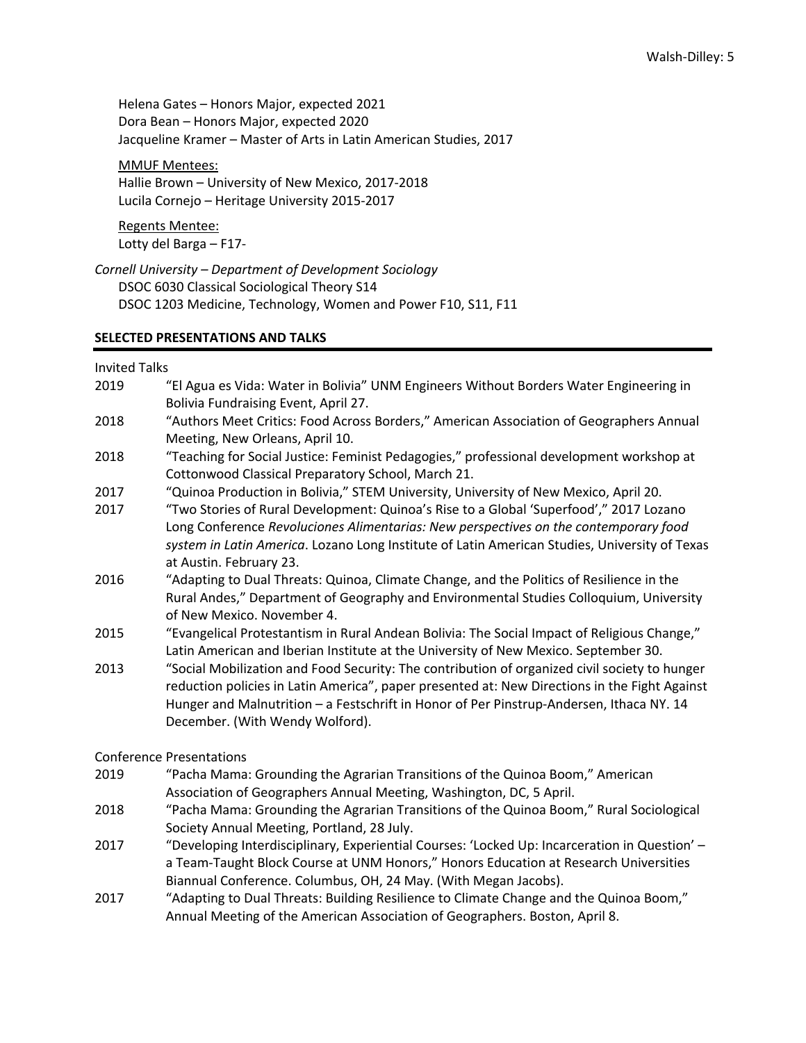Helena Gates – Honors Major, expected 2021 Dora Bean – Honors Major, expected 2020 Jacqueline Kramer – Master of Arts in Latin American Studies, 2017

#### MMUF Mentees:

Hallie Brown – University of New Mexico, 2017-2018 Lucila Cornejo – Heritage University 2015-2017

Regents Mentee: Lotty del Barga – F17-

*Cornell University – Department of Development Sociology* DSOC 6030 Classical Sociological Theory S14 DSOC 1203 Medicine, Technology, Women and Power F10, S11, F11

#### **SELECTED PRESENTATIONS AND TALKS**

Invited Talks

- 2019 "El Agua es Vida: Water in Bolivia" UNM Engineers Without Borders Water Engineering in Bolivia Fundraising Event, April 27. 2018 "Authors Meet Critics: Food Across Borders," American Association of Geographers Annual Meeting, New Orleans, April 10. 2018 "Teaching for Social Justice: Feminist Pedagogies," professional development workshop at Cottonwood Classical Preparatory School, March 21.
- 2017 "Quinoa Production in Bolivia," STEM University, University of New Mexico, April 20.
- 2017 "Two Stories of Rural Development: Quinoa's Rise to a Global 'Superfood'," 2017 Lozano Long Conference *Revoluciones Alimentarias: New perspectives on the contemporary food system in Latin America*. Lozano Long Institute of Latin American Studies, University of Texas at Austin. February 23.
- 2016 "Adapting to Dual Threats: Quinoa, Climate Change, and the Politics of Resilience in the Rural Andes," Department of Geography and Environmental Studies Colloquium, University of New Mexico. November 4.
- 2015 "Evangelical Protestantism in Rural Andean Bolivia: The Social Impact of Religious Change," Latin American and Iberian Institute at the University of New Mexico. September 30.
- 2013 "Social Mobilization and Food Security: The contribution of organized civil society to hunger reduction policies in Latin America", paper presented at: New Directions in the Fight Against Hunger and Malnutrition – a Festschrift in Honor of Per Pinstrup-Andersen, Ithaca NY. 14 December. (With Wendy Wolford).

Conference Presentations

- 2019 "Pacha Mama: Grounding the Agrarian Transitions of the Quinoa Boom," American Association of Geographers Annual Meeting, Washington, DC, 5 April.
- 2018 "Pacha Mama: Grounding the Agrarian Transitions of the Quinoa Boom," Rural Sociological Society Annual Meeting, Portland, 28 July.
- 2017 "Developing Interdisciplinary, Experiential Courses: 'Locked Up: Incarceration in Question' a Team-Taught Block Course at UNM Honors," Honors Education at Research Universities Biannual Conference. Columbus, OH, 24 May. (With Megan Jacobs).
- 2017 "Adapting to Dual Threats: Building Resilience to Climate Change and the Quinoa Boom," Annual Meeting of the American Association of Geographers. Boston, April 8.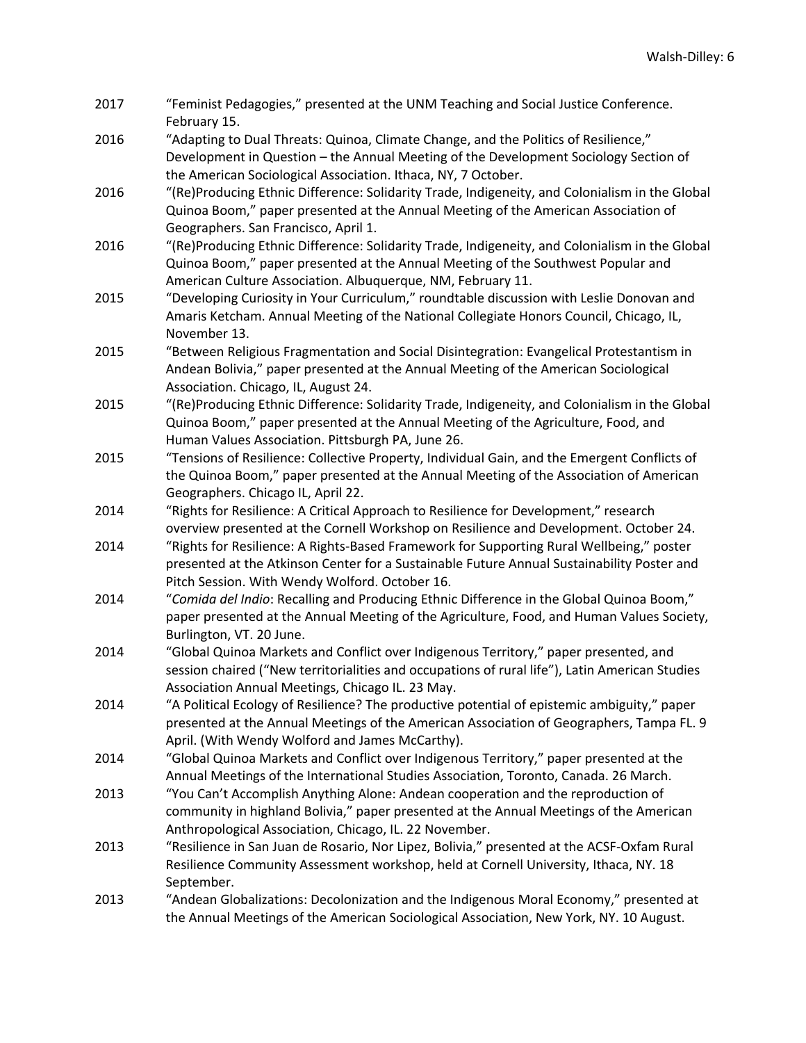| 2017         | "Feminist Pedagogies," presented at the UNM Teaching and Social Justice Conference.<br>February 15.                                                                                     |
|--------------|-----------------------------------------------------------------------------------------------------------------------------------------------------------------------------------------|
| 2016<br>2016 | "Adapting to Dual Threats: Quinoa, Climate Change, and the Politics of Resilience,"                                                                                                     |
|              | Development in Question - the Annual Meeting of the Development Sociology Section of<br>the American Sociological Association. Ithaca, NY, 7 October.                                   |
|              | "(Re)Producing Ethnic Difference: Solidarity Trade, Indigeneity, and Colonialism in the Global                                                                                          |
|              | Quinoa Boom," paper presented at the Annual Meeting of the American Association of                                                                                                      |
|              | Geographers. San Francisco, April 1.                                                                                                                                                    |
| 2016         | "(Re)Producing Ethnic Difference: Solidarity Trade, Indigeneity, and Colonialism in the Global<br>Quinoa Boom," paper presented at the Annual Meeting of the Southwest Popular and      |
|              | American Culture Association. Albuquerque, NM, February 11.                                                                                                                             |
| 2015         | "Developing Curiosity in Your Curriculum," roundtable discussion with Leslie Donovan and                                                                                                |
|              | Amaris Ketcham. Annual Meeting of the National Collegiate Honors Council, Chicago, IL,<br>November 13.                                                                                  |
| 2015         | "Between Religious Fragmentation and Social Disintegration: Evangelical Protestantism in                                                                                                |
|              | Andean Bolivia," paper presented at the Annual Meeting of the American Sociological<br>Association. Chicago, IL, August 24.                                                             |
| 2015         | "(Re)Producing Ethnic Difference: Solidarity Trade, Indigeneity, and Colonialism in the Global                                                                                          |
|              | Quinoa Boom," paper presented at the Annual Meeting of the Agriculture, Food, and                                                                                                       |
| 2015         | Human Values Association. Pittsburgh PA, June 26.<br>"Tensions of Resilience: Collective Property, Individual Gain, and the Emergent Conflicts of                                       |
|              | the Quinoa Boom," paper presented at the Annual Meeting of the Association of American                                                                                                  |
|              | Geographers. Chicago IL, April 22.                                                                                                                                                      |
| 2014         | "Rights for Resilience: A Critical Approach to Resilience for Development," research                                                                                                    |
|              | overview presented at the Cornell Workshop on Resilience and Development. October 24.                                                                                                   |
| 2014         | "Rights for Resilience: A Rights-Based Framework for Supporting Rural Wellbeing," poster                                                                                                |
|              | presented at the Atkinson Center for a Sustainable Future Annual Sustainability Poster and<br>Pitch Session. With Wendy Wolford. October 16.                                            |
| 2014         | "Comida del Indio: Recalling and Producing Ethnic Difference in the Global Quinoa Boom,"                                                                                                |
|              | paper presented at the Annual Meeting of the Agriculture, Food, and Human Values Society,<br>Burlington, VT. 20 June.                                                                   |
| 2014         | "Global Quinoa Markets and Conflict over Indigenous Territory," paper presented, and                                                                                                    |
|              | session chaired ("New territorialities and occupations of rural life"), Latin American Studies                                                                                          |
|              | Association Annual Meetings, Chicago IL. 23 May.                                                                                                                                        |
| 2014         | "A Political Ecology of Resilience? The productive potential of epistemic ambiguity," paper<br>presented at the Annual Meetings of the American Association of Geographers, Tampa FL. 9 |
|              | April. (With Wendy Wolford and James McCarthy).<br>"Global Quinoa Markets and Conflict over Indigenous Territory," paper presented at the                                               |
| 2014         | Annual Meetings of the International Studies Association, Toronto, Canada. 26 March.                                                                                                    |
| 2013         | "You Can't Accomplish Anything Alone: Andean cooperation and the reproduction of                                                                                                        |
|              | community in highland Bolivia," paper presented at the Annual Meetings of the American                                                                                                  |
|              | Anthropological Association, Chicago, IL. 22 November.                                                                                                                                  |
| 2013         | "Resilience in San Juan de Rosario, Nor Lipez, Bolivia," presented at the ACSF-Oxfam Rural                                                                                              |
|              | Resilience Community Assessment workshop, held at Cornell University, Ithaca, NY. 18<br>September.                                                                                      |
| 2013         | "Andean Globalizations: Decolonization and the Indigenous Moral Economy," presented at                                                                                                  |
|              | the Annual Meetings of the American Sociological Association, New York, NY. 10 August.                                                                                                  |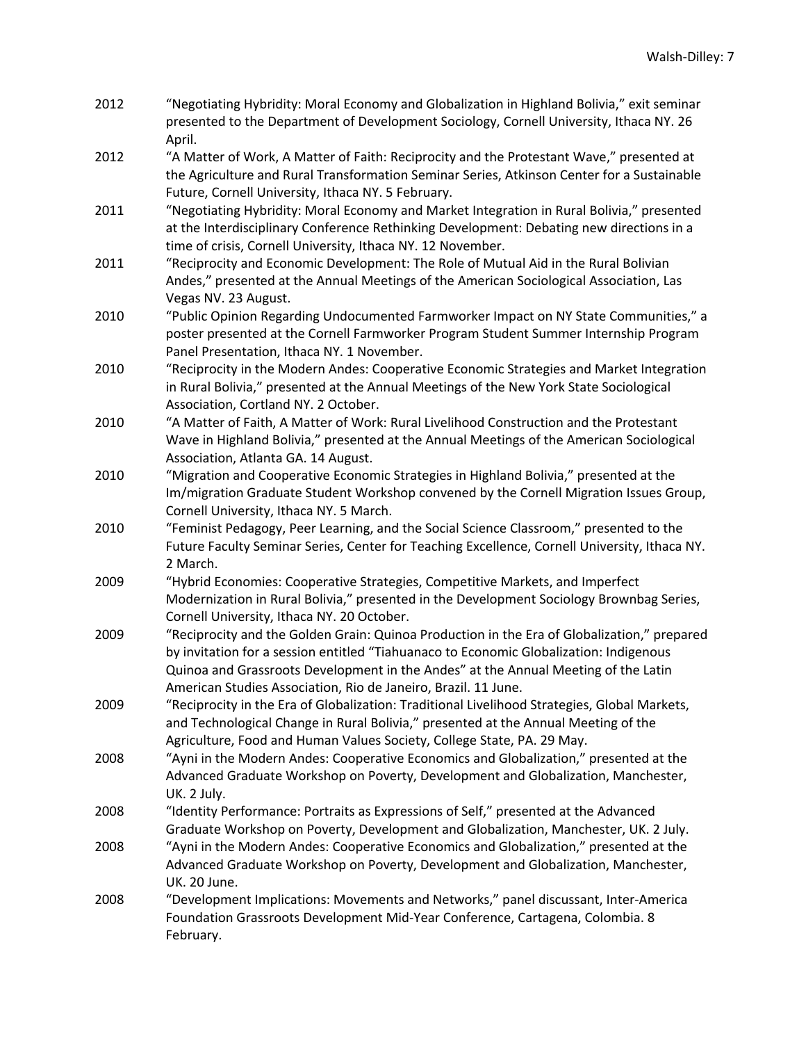| 2012 | "Negotiating Hybridity: Moral Economy and Globalization in Highland Bolivia," exit seminar |
|------|--------------------------------------------------------------------------------------------|
|      | presented to the Department of Development Sociology, Cornell University, Ithaca NY. 26    |
|      | April.                                                                                     |

- 2012 "A Matter of Work, A Matter of Faith: Reciprocity and the Protestant Wave," presented at the Agriculture and Rural Transformation Seminar Series, Atkinson Center for a Sustainable Future, Cornell University, Ithaca NY. 5 February.
- 2011 "Negotiating Hybridity: Moral Economy and Market Integration in Rural Bolivia," presented at the Interdisciplinary Conference Rethinking Development: Debating new directions in a time of crisis, Cornell University, Ithaca NY. 12 November.
- 2011 "Reciprocity and Economic Development: The Role of Mutual Aid in the Rural Bolivian Andes," presented at the Annual Meetings of the American Sociological Association, Las Vegas NV. 23 August.
- 2010 "Public Opinion Regarding Undocumented Farmworker Impact on NY State Communities," a poster presented at the Cornell Farmworker Program Student Summer Internship Program Panel Presentation, Ithaca NY. 1 November.
- 2010 "Reciprocity in the Modern Andes: Cooperative Economic Strategies and Market Integration in Rural Bolivia," presented at the Annual Meetings of the New York State Sociological Association, Cortland NY. 2 October.
- 2010 "A Matter of Faith, A Matter of Work: Rural Livelihood Construction and the Protestant Wave in Highland Bolivia," presented at the Annual Meetings of the American Sociological Association, Atlanta GA. 14 August.
- 2010 "Migration and Cooperative Economic Strategies in Highland Bolivia," presented at the Im/migration Graduate Student Workshop convened by the Cornell Migration Issues Group, Cornell University, Ithaca NY. 5 March.
- 2010 "Feminist Pedagogy, Peer Learning, and the Social Science Classroom," presented to the Future Faculty Seminar Series, Center for Teaching Excellence, Cornell University, Ithaca NY. 2 March.
- 2009 "Hybrid Economies: Cooperative Strategies, Competitive Markets, and Imperfect Modernization in Rural Bolivia," presented in the Development Sociology Brownbag Series, Cornell University, Ithaca NY. 20 October.
- 2009 "Reciprocity and the Golden Grain: Quinoa Production in the Era of Globalization," prepared by invitation for a session entitled "Tiahuanaco to Economic Globalization: Indigenous Quinoa and Grassroots Development in the Andes" at the Annual Meeting of the Latin American Studies Association, Rio de Janeiro, Brazil. 11 June.
- 2009 "Reciprocity in the Era of Globalization: Traditional Livelihood Strategies, Global Markets, and Technological Change in Rural Bolivia," presented at the Annual Meeting of the Agriculture, Food and Human Values Society, College State, PA. 29 May.
- 2008 "Ayni in the Modern Andes: Cooperative Economics and Globalization," presented at the Advanced Graduate Workshop on Poverty, Development and Globalization, Manchester, UK. 2 July.
- 2008 "Identity Performance: Portraits as Expressions of Self," presented at the Advanced Graduate Workshop on Poverty, Development and Globalization, Manchester, UK. 2 July.
- 2008 "Ayni in the Modern Andes: Cooperative Economics and Globalization," presented at the Advanced Graduate Workshop on Poverty, Development and Globalization, Manchester, UK. 20 June.
- 2008 "Development Implications: Movements and Networks," panel discussant, Inter-America Foundation Grassroots Development Mid-Year Conference, Cartagena, Colombia. 8 February.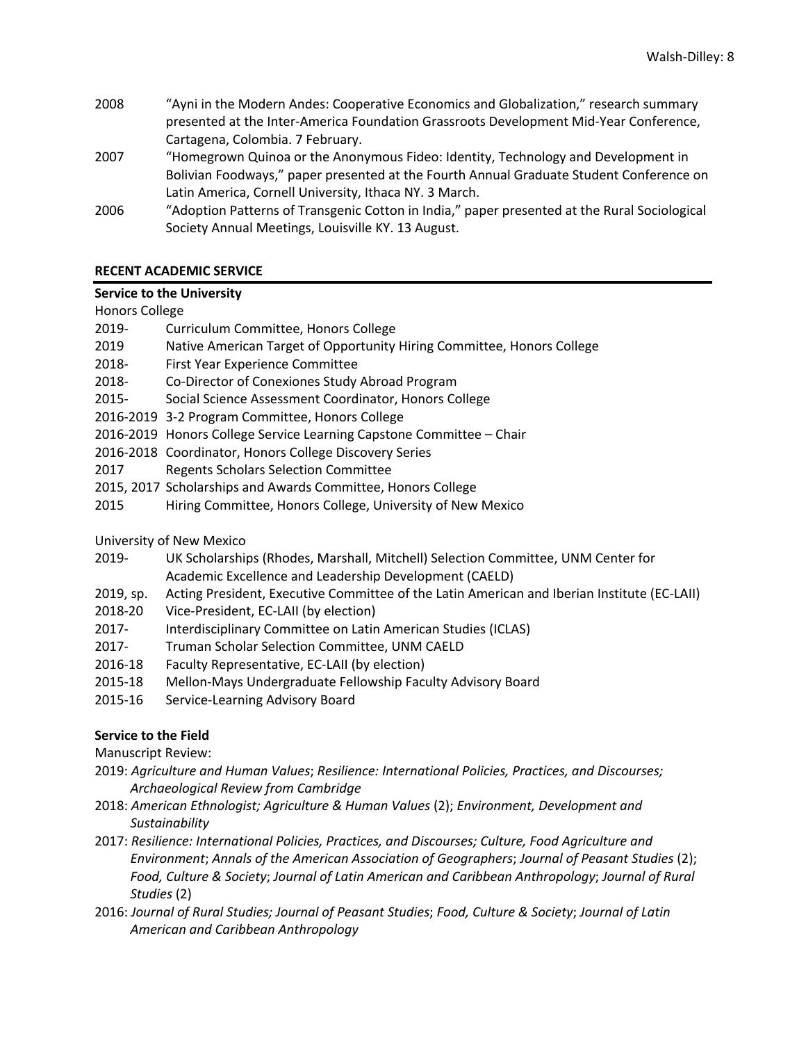- 2008 "Ayni in the Modern Andes: Cooperative Economics and Globalization," research summary presented at the Inter-America Foundation Grassroots Development Mid-Year Conference, Cartagena, Colombia. 7 February.
- 2007 "Homegrown Quinoa or the Anonymous Fideo: Identity, Technology and Development in Bolivian Foodways," paper presented at the Fourth Annual Graduate Student Conference on Latin America, Cornell University, Ithaca NY. 3 March.
- 2006 "Adoption Patterns of Transgenic Cotton in India," paper presented at the Rural Sociological Society Annual Meetings, Louisville KY. 13 August.

# **RECENT ACADEMIC SERVICE**

## **Service to the University**

## Honors College

- 2019- Curriculum Committee, Honors College
- 2019 Native American Target of Opportunity Hiring Committee, Honors College
- 2018- First Year Experience Committee
- 2018- Co-Director of Conexiones Study Abroad Program
- 2015- Social Science Assessment Coordinator, Honors College
- 2016-2019 3-2 Program Committee, Honors College
- 2016-2019 Honors College Service Learning Capstone Committee Chair
- 2016-2018 Coordinator, Honors College Discovery Series
- 2017 Regents Scholars Selection Committee
- 2015, 2017 Scholarships and Awards Committee, Honors College
- 2015 Hiring Committee, Honors College, University of New Mexico

University of New Mexico

- 2019- UK Scholarships (Rhodes, Marshall, Mitchell) Selection Committee, UNM Center for Academic Excellence and Leadership Development (CAELD)
- 2019, sp. Acting President, Executive Committee of the Latin American and Iberian Institute (EC-LAII)
- 2018-20 Vice-President, EC-LAII (by election)
- 2017- Interdisciplinary Committee on Latin American Studies (ICLAS)
- 2017- Truman Scholar Selection Committee, UNM CAELD
- 2016-18 Faculty Representative, EC-LAII (by election)
- 2015-18 Mellon-Mays Undergraduate Fellowship Faculty Advisory Board
- 2015-16 Service-Learning Advisory Board

## **Service to the Field**

Manuscript Review:

- 2019: *Agriculture and Human Values*; *Resilience: International Policies, Practices, and Discourses; Archaeological Review from Cambridge*
- 2018: *American Ethnologist; Agriculture & Human Values* (2); *Environment, Development and Sustainability*
- 2017: *Resilience: International Policies, Practices, and Discourses; Culture, Food Agriculture and Environment*; *Annals of the American Association of Geographers*; *Journal of Peasant Studies* (2); *Food, Culture & Society*; *Journal of Latin American and Caribbean Anthropology*; *Journal of Rural Studies* (2)
- 2016: *Journal of Rural Studies; Journal of Peasant Studies*; *Food, Culture & Society*; *Journal of Latin American and Caribbean Anthropology*